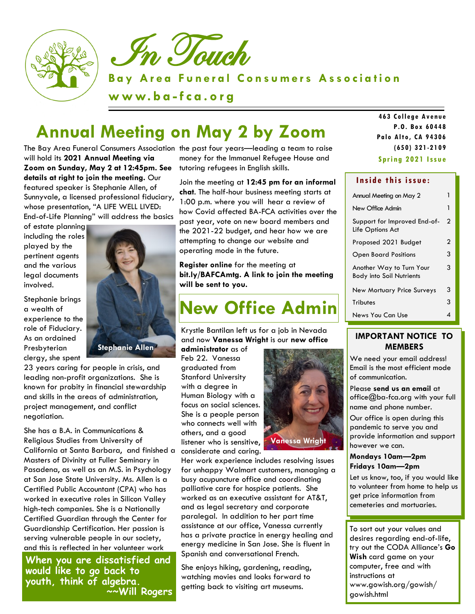



**Bay Area Funeral Consumers Association** 

**w w w. b a - f c a . o r g**

# **Annual Meeting on May 2 by Zoom**

The Bay Area Funeral Consumers Association the past four years—leading a team to raise will hold its **2021 Annual Meeting via Zoom on Sunday, May 2 at 12:45pm. See details at right to join the meeting.** Our featured speaker is Stephanie Allen, of Sunnyvale, a licensed professional fiduciary, whose presentation, "A LIFE WELL LIVED: End-of-Life Planning" will address the basics

of estate planning including the roles played by the pertinent agents and the various legal documents involved.

Stephanie brings a wealth of experience to the role of Fiduciary. As an ordained **Presbyterian** clergy, she spent



23 years caring for people in crisis, and leading non-profit organizations. She is known for probity in financial stewardship and skills in the areas of administration, project management, and conflict negotiation.

She has a B.A. in Communications & Religious Studies from University of California at Santa Barbara, and finished a Masters of Divinity at Fuller Seminary in Pasadena, as well as an M.S. in Psychology at San Jose State University. Ms. Allen is a Certified Public Accountant (CPA) who has worked in executive roles in Silicon Valley high-tech companies. She is a Nationally Certified Guardian through the Center for Guardianship Certification. Her passion is serving vulnerable people in our society, and this is reflected in her volunteer work

**When you are dissatisfied and would like to go back to youth, think of algebra. ~~Will Rogers** 

money for the Immanuel Refugee House and tutoring refugees in English skills.

Join the meeting at **12:45 pm for an informal chat**. The half-hour business meeting starts at 1:00 p.m. where you will hear a review of how Covid affected BA-FCA activities over the past year, vote on new board members and the 2021-22 budget, and hear how we are attempting to change our website and operating mode in the future.

**Register online** for the meeting at **bit.ly/BAFCAmtg. A link to join the meeting will be sent to you.**

# **New Office Admin**

Krystle Bantilan left us for a job in Nevada and now **Vanessa Wright** is our **new office** 

**administrator** as of Feb 22. Vanessa graduated from Stanford University with a degree in Human Biology with a focus on social sciences. She is a people person who connects well with others, and a good listener who is sensitive, considerate and caring.



Her work experience includes resolving issues for unhappy Walmart customers, managing a busy acupuncture office and coordinating palliative care for hospice patients. She worked as an executive assistant for AT&T, and as legal secretary and corporate paralegal. In addition to her part time assistance at our office, Vanessa currently has a private practice in energy healing and energy medicine in San Jose. She is fluent in Spanish and conversational French.

She enjoys hiking, gardening, reading, watching movies and looks forward to getting back to visiting art museums.

**Spr ing 2021 Iss ue 463 Co lle ge A ve nue P.O. B o x 60448 Palo A lto , CA 94306 (650) 3 21 -21 09**

#### Inside this issue:

| Annual Meeting on May 2                                     |   |
|-------------------------------------------------------------|---|
| New Office Admin                                            | 1 |
| Support for Improved End-of-<br>Life Options Act            | 2 |
| Proposed 2021 Budget                                        | 2 |
| <b>Open Board Positions</b>                                 | 3 |
| Another Way to Turn Your<br><b>Body into Soil Nutrients</b> | 3 |
| <b>New Mortuary Price Surveys</b>                           | 3 |
| Tributes                                                    | 3 |
| News You Can Use                                            |   |

## **IMPORTANT NOTICE TO MEMBERS**

We need your email address! Email is the most efficient mode of communication.

Please **send us an email** at office@ba-fca.org with your full name and phone number.

Our office is open during this pandemic to serve you and provide information and support however we can.

#### **Mondays 10am—2pm Fridays 10am—2pm**

Let us know, too, if you would like to volunteer from home to help us get price information from cemeteries and mortuaries.

To sort out your values and desires regarding end-of-life, try out the CODA Alliance's **Go Wish** card game on your computer, free and with instructions at www.gowish.org/gowish/ gowish.html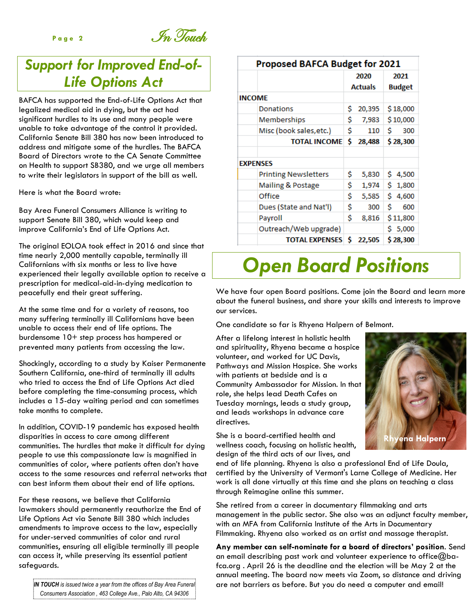Page 2 **In Touch** 

## *Support for Improved End-of-Life Options Act*

BAFCA has supported the End-of-Life Options Act that legalized medical aid in dying, but the act had significant hurdles to its use and many people were unable to take advantage of the control it provided. California Senate Bill 380 has now been introduced to address and mitigate some of the hurdles. The BAFCA Board of Directors wrote to the CA Senate Committee on Health to support SB380, and we urge all members to write their legislators in support of the bill as well.

Here is what the Board wrote:

Bay Area Funeral Consumers Alliance is writing to support Senate Bill 380, which would keep and improve California's End of Life Options Act.

The original EOLOA took effect in 2016 and since that time nearly 2,000 mentally capable, terminally ill Californians with six months or less to live have experienced their legally available option to receive a prescription for medical-aid-in-dying medication to peacefully end their great suffering.

At the same time and for a variety of reasons, too many suffering terminally ill Californians have been unable to access their end of life options. The burdensome 10+ step process has hampered or prevented many patients from accessing the law.

Shockingly, according to a study by Kaiser Permanente Southern California, one-third of terminally ill adults who tried to access the End of Life Options Act died before completing the time-consuming process, which includes a 15-day waiting period and can sometimes take months to complete.

In addition, COVID-19 pandemic has exposed health disparities in access to care among different communities. The hurdles that make it difficult for dying people to use this compassionate law is magnified in communities of color, where patients often don't have access to the same resources and referral networks that can best inform them about their end of life options.

For these reasons, we believe that California lawmakers should permanently reauthorize the End of Life Options Act via Senate Bill 380 which includes amendments to improve access to the law, especially for under-served communities of color and rural communities, ensuring all eligible terminally ill people can access it, while preserving its essential patient safeguards.

Proposed BAFCA Budget for 2021 2020 2021 **Actuals Budget INCOME Donations** \$20,395  $$18,000$ \$ 7,983 Memberships \$10,000 Misc (book sales, etc.) \$ Ś 110 300 TOTAL INCOME \$ 28,488 \$28,300 **EXPENSES Printing Newsletters** \$ 5,830  $$4,500$ Mailing & Postage Ś 1,974  $$1,800$ \$ Office 5,585  $$4,600$ \$ Dues (State and Nat'l) 300 Ś. 600 Ś Payroll 8,816 \$11,800 Outreach/Web upgrade)  $$5,000$ TOTAL EXPENSES \$22,505 \$28,300

# *Open Board Positions*

We have four open Board positions. Come join the Board and learn more about the funeral business, and share your skills and interests to improve our services.

One candidate so far is Rhyena Halpern of Belmont.

After a lifelong interest in holistic health and spirituality, Rhyena became a hospice volunteer, and worked for UC Davis, Pathways and Mission Hospice. She works with patients at bedside and is a Community Ambassador for Mission. In that role, she helps lead Death Cafes on Tuesday mornings, leads a study group, and leads workshops in advance care directives.

She is a board-certified health and wellness coach, focusing on holistic health, design of the third acts of our lives, and

end of life planning. Rhyena is also a professional End of Life Doula, certified by the University of Vermont's Larne College of Medicine. Her work is all done virtually at this time and she plans on teaching a class through Reimagine online this summer.

She retired from a career in documentary filmmaking and arts management in the public sector. She also was an adjunct faculty member, with an MFA from California Institute of the Arts in Documentary Filmmaking. Rhyena also worked as an artist and massage therapist.

**Any member can self-nominate for a board of directors' position**. Send an email describing past work and volunteer experience to office@bafca.org . April 26 is the deadline and the election will be May 2 at the annual meeting. The board now meets via Zoom, so distance and driving are not barriers as before. But you do need a computer and email!





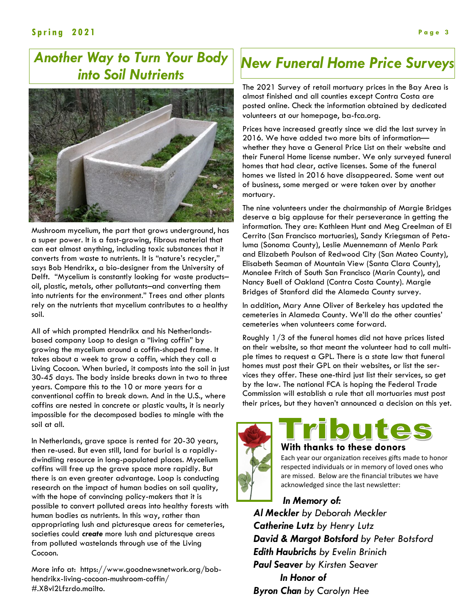## *Another Way to Turn Your Body into Soil Nutrients*



Mushroom mycelium, the part that grows underground, has a super power. It is a fast-growing, fibrous material that can eat almost anything, including toxic substances that it converts from waste to nutrients. It is "nature's recycler," says Bob Hendrikx, a bio-designer from the University of Delft. "Mycelium is constantly looking for waste products– oil, plastic, metals, other pollutants–and converting them into nutrients for the environment." Trees and other plants rely on the nutrients that mycelium contributes to a healthy soil.

All of which prompted Hendrikx and his Netherlandsbased company Loop to design a "living coffin" by growing the mycelium around a coffin-shaped frame. It takes about a week to grow a coffin, which they call a Living Cocoon. When buried, it composts into the soil in just 30-45 days. The body inside breaks down in two to three years. Compare this to the 10 or more years for a conventional coffin to break down. And in the U.S., where coffins are nested in concrete or plastic vaults, it is nearly impossible for the decomposed bodies to mingle with the soil at all.

In Netherlands, grave space is rented for 20-30 years, then re-used. But even still, land for burial is a rapidlydwindling resource in long-populated places. Mycelium coffins will free up the grave space more rapidly. But there is an even greater advantage. Loop is conducting research on the impact of human bodies on soil quality, with the hope of convincing policy-makers that it is possible to convert polluted areas into healthy forests with human bodies as nutrients. In this way, rather than appropriating lush and picturesque areas for cemeteries, societies could *create* more lush and picturesque areas from polluted wastelands through use of the Living Cocoon.

More info at: https://www.goodnewsnetwork.org/bobhendrikx-living-cocoon-mushroom-coffin/ #.X8vl2Lfzrdo.mailto.

## *New Funeral Home Price Surveys*

The 2021 Survey of retail mortuary prices in the Bay Area is almost finished and all counties except Contra Costa are posted online. Check the information obtained by dedicated volunteers at our homepage, ba-fca.org.

Prices have increased greatly since we did the last survey in 2016. We have added two more bits of information whether they have a General Price List on their website and their Funeral Home license number. We only surveyed funeral homes that had clear, active licenses. Some of the funeral homes we listed in 2016 have disappeared. Some went out of business, some merged or were taken over by another mortuary.

The nine volunteers under the chairmanship of Margie Bridges deserve a big applause for their perseverance in getting the information. They are: Kathleen Hunt and Meg Creelman of El Cerrito (San Francisco mortuaries), Sandy Kriegsman of Petaluma (Sonoma County), Leslie Muennemann of Menlo Park and Elizabeth Poulson of Redwood City (San Mateo County), Elisabeth Seaman of Mountain View (Santa Clara County), Monalee Fritch of South San Francisco (Marin County), and Nancy Buell of Oakland (Contra Costa County). Margie Bridges of Stanford did the Alameda County survey.

In addition, Mary Anne Oliver of Berkeley has updated the cemeteries in Alameda County. We'll do the other counties' cemeteries when volunteers come forward.

Roughly 1/3 of the funeral homes did not have prices listed on their website, so that meant the volunteer had to call multiple times to request a GPL. There is a state law that funeral homes must post their GPL on their websites, or list the services they offer. These one-third just list their services, so get by the law. The national FCA is hoping the Federal Trade Commission will establish a rule that all mortuaries must post their prices, but they haven't announced a decision on this yet.



## **With thanks to these donors**

Each year our organization receives gifts made to honor respected individuals or in memory of loved ones who are missed. Below are the financial tributes we have acknowledged since the last newsletter:

 *In Memory of: Al Meckler by Deborah Meckler Catherine Lutz by Henry Lutz David & Margot Botsford by Peter Botsford Edith Haubrichs by Evelin Brinich Paul Seaver by Kirsten Seaver In Honor of Byron Chan by Carolyn Hee*